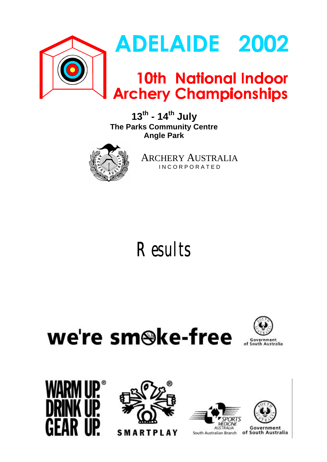

**13th - 14th July The Parks Community Centre Angle Park**



ARCHERY AUSTRALIA I N C O R P O R A T E D

# **Results**

we're sm<sup>@ke-free</sup>







**SMARTPLAY** 





Government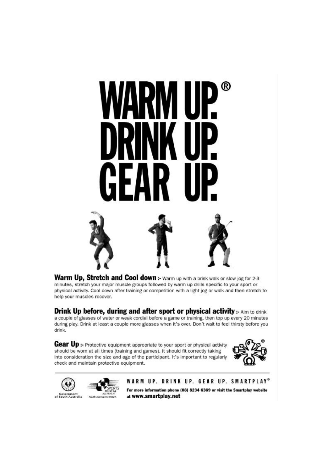

Warm Up, Stretch and Cool down :- Warm up with a brisk walk or slow jog for 2-3 minutes, stretch your major muscle groups followed by warm up drills specific to your sport or physical activity. Cool down after training or competition with a light jog or walk and then stretch to help your muscles recover.

**Drink Up before, during and after sport or physical activity:** Aim to drink a couple of glasses of water or weak cordial before a game or training, then top up every 20 minutes during play. Drink at least a couple more glasses when it's over. Don't wait to feel thirsty before you drink.

Gear Up :- Protective equipment appropriate to your sport or physical activity should be worn at all times (training and games). It should fit correctly taking into consideration the size and age of the participant. It's important to regularly check and maintain protective equipment.





WARM UP. DRINK UP. GEAR UP. SMARTPLAY®

For more information phone (08) 8234 6369 or visit the Smartplay website at www.smartplay.net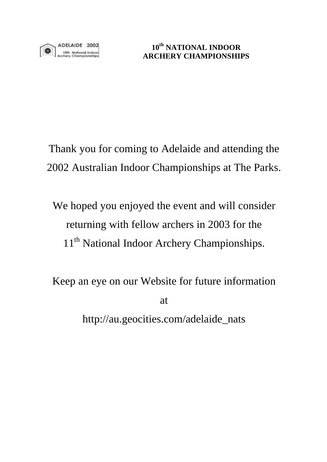Thank you for coming to Adelaide and attending the 2002 Australian Indoor Championships at The Parks.

We hoped you enjoyed the event and will consider returning with fellow archers in 2003 for the 11<sup>th</sup> National Indoor Archery Championships.

Keep an eye on our Website for future information

at

http://au.geocities.com/adelaide\_nats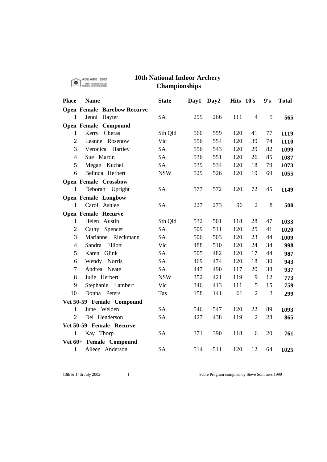|                | ADELAIDE 2002                      | <b>10th National Indoor Archery</b> |      |                  |           |                |     |              |
|----------------|------------------------------------|-------------------------------------|------|------------------|-----------|----------------|-----|--------------|
|                | 10th Notional Indoc                | <b>Championships</b>                |      |                  |           |                |     |              |
| <b>Place</b>   | <b>Name</b>                        | <b>State</b>                        | Day1 | Day <sub>2</sub> | Hits 10's |                | 9's | <b>Total</b> |
|                | <b>Open Female Barebow Recurve</b> |                                     |      |                  |           |                |     |              |
| $\mathbf{1}$   | Jenni Hayter                       | <b>SA</b>                           | 299  | 266              | 111       | 4              | 5   | 565          |
|                | <b>Open Female Compound</b>        |                                     |      |                  |           |                |     |              |
| $\mathbf{1}$   | Kerry Cheras                       | Sth Qld                             | 560  | 559              | 120       | 41             | 77  | 1119         |
| $\overline{2}$ | Leanne Rosenow                     | Vic                                 | 556  | 554              | 120       | 39             | 74  | 1110         |
| 3              | Veronica Hartley                   | <b>SA</b>                           | 556  | 543              | 120       | 29             | 82  | 1099         |
| $\overline{4}$ | Sue Martin                         | <b>SA</b>                           | 536  | 551              | 120       | 26             | 85  | 1087         |
| 5              | Megan Kuchel                       | <b>SA</b>                           | 539  | 534              | 120       | 18             | 79  | 1073         |
| 6              | Belinda Herbert                    | <b>NSW</b>                          | 529  | 526              | 120       | 19             | 69  | 1055         |
|                | <b>Open Female Crossbow</b>        |                                     |      |                  |           |                |     |              |
| 1              | Deborah<br>Upright                 | <b>SA</b>                           | 577  | 572              | 120       | 72             | 45  | 1149         |
|                | <b>Open Female Longbow</b>         |                                     |      |                  |           |                |     |              |
| 1              | Carol Ashlee                       | SА                                  | 227  | 273              | 96        | $\overline{2}$ | 8   | 500          |
|                | <b>Open Female Recurve</b>         |                                     |      |                  |           |                |     |              |
| $\mathbf 1$    | Helen Austin                       | Sth Qld                             | 532  | 501              | 118       | 28             | 47  | 1033         |
| $\overline{2}$ | Spencer<br>Cathy                   | <b>SA</b>                           | 509  | 511              | 120       | 25             | 41  | 1020         |
| 3              | Marianne Rieckmann                 | <b>SA</b>                           | 506  | 503              | 120       | 23             | 44  | 1009         |
| $\overline{4}$ | Sandra Elliott                     | Vic                                 | 488  | 510              | 120       | 24             | 34  | 998          |
| 5              | Karen Glink                        | <b>SA</b>                           | 505  | 482              | 120       | 17             | 44  | 987          |
| 6              | Norris<br>Wendy                    | <b>SA</b>                           | 469  | 474              | 120       | 18             | 30  | 943          |
| 7              | Andrea Neate                       | <b>SA</b>                           | 447  | 490              | 117       | 20             | 38  | 937          |
| 8              | Julie Herbert                      | <b>NSW</b>                          | 352  | 421              | 119       | 9              | 12  | 773          |
| 9              | Stephanie Lambert                  | Vic                                 | 346  | 413              | 111       | 5              | 15  | 759          |
| 10             | Donna Peters                       | Tas                                 | 158  | 141              | 61        | $\overline{2}$ | 3   | 299          |
|                | Vet 50-59 Female Compound          |                                     |      |                  |           |                |     |              |
| 1              | Welden<br>June                     | <b>SA</b>                           | 546  | 547              | 120       | 22             | 89  | 1093         |
| $\overline{2}$ | Del Henderson                      | <b>SA</b>                           | 427  | 438              | 119       | $\overline{2}$ | 28  | 865          |
|                | Vet 50-59 Female Recurve           |                                     |      |                  |           |                |     |              |
| 1              | Kay Thorp                          | <b>SA</b>                           | 371  | 390              | 118       | 6              | 20  | 761          |
|                | Vet 60+ Female Compound            |                                     |      |                  |           |                |     |              |
| 1              | Aileen Anderson                    | <b>SA</b>                           | 514  | 511              | 120       | 12             | 64  | 1025         |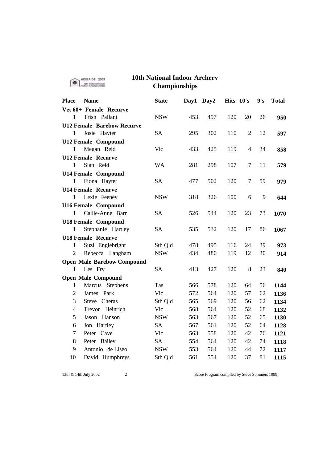| <b>10th National Indoor Archery</b><br>ADELAIDE 2002<br><b>Officeral Indiana</b><br><b>Championships</b> |                                   |              |      |      |           |       |     |              |
|----------------------------------------------------------------------------------------------------------|-----------------------------------|--------------|------|------|-----------|-------|-----|--------------|
| <b>Place</b>                                                                                             | <b>Name</b>                       | <b>State</b> | Day1 | Day2 | Hits 10's |       | 9's | <b>Total</b> |
|                                                                                                          | Vet 60+ Female Recurve            |              |      |      |           |       |     |              |
| 1                                                                                                        | Trish Pallant                     | <b>NSW</b>   | 453  | 497  | 120       | 20    | 26  | 950          |
|                                                                                                          | <b>U12 Female Barebow Recurve</b> |              |      |      |           |       |     |              |
| 1                                                                                                        | Josie Hayter                      | SA           | 295  | 302  | 110       | 2     | 12  | 597          |
|                                                                                                          | <b>U12 Female Compound</b>        |              |      |      |           |       |     |              |
| 1                                                                                                        | Megan Reid                        | Vic          | 433  | 425  | 119       | 4     | 34  | 858          |
|                                                                                                          | <b>U12 Female Recurve</b>         |              |      |      |           |       |     |              |
| 1                                                                                                        | Sian Reid                         | WA           | 281  | 298  | 107       | 7     | 11  | 579          |
|                                                                                                          | <b>U14 Female Compound</b>        |              |      |      |           |       |     |              |
| 1                                                                                                        | Fiona Hayter                      | <b>SA</b>    | 477  | 502  | 120       | 7     | 59  | 979          |
|                                                                                                          | <b>U14 Female Recurve</b>         |              |      |      |           |       |     |              |
| 1                                                                                                        | Lexie Feeney                      | <b>NSW</b>   | 318  | 326  | 100       | 6     | 9   | 644          |
|                                                                                                          | <b>U16 Female Compound</b>        |              |      |      |           |       |     |              |
| 1                                                                                                        | Callie-Anne Barr                  | <b>SA</b>    | 526  | 544  | 120       | 23    | 73  | 1070         |
|                                                                                                          | <b>U18 Female Compound</b>        |              |      |      |           |       |     |              |
| 1                                                                                                        | Stephanie Hartley                 | <b>SA</b>    | 535  | 532  | 120       | 17    | 86  | 1067         |
|                                                                                                          | <b>U18 Female Recurve</b>         |              |      |      |           |       |     |              |
| 1                                                                                                        | Suzi Englebright                  | Sth Qld      | 478  | 495  | 116       | 24    | 39  | 973          |
| 2                                                                                                        | Rebecca Langham                   | <b>NSW</b>   | 434  | 480  | 119       | 12    | 30  | 914          |
|                                                                                                          | <b>Open Male Barebow Compound</b> |              |      |      |           |       |     |              |
| 1                                                                                                        | Les Fry                           | <b>SA</b>    | 413  | 427  | 120       | $8\,$ | 23  | 840          |
|                                                                                                          | <b>Open Male Compound</b>         |              |      |      |           |       |     |              |
| 1                                                                                                        | Marcus Stephens                   | <b>Tas</b>   | 566  | 578  | 120       | 64    | 56  | 1144         |
| $\overline{2}$                                                                                           | Park<br>James                     | Vic          | 572  | 564  | 120       | 57    | 62  | 1136         |
| 3                                                                                                        | Steve Cheras                      | Sth Qld      | 565  | 569  | 120       | 56    | 62  | 1134         |
| 4                                                                                                        | Trevor Heinrich                   | Vic          | 568  | 564  | 120       | 52    | 68  | 1132         |
| 5                                                                                                        | Jason Hanson                      | <b>NSW</b>   | 563  | 567  | 120       | 52    | 65  | 1130         |
| 6                                                                                                        | Jon Hartley                       | <b>SA</b>    | 567  | 561  | 120       | 52    | 64  | 1128         |
| $\tau$                                                                                                   | Peter Cave                        | Vic          | 563  | 558  | 120       | 42    | 76  | 1121         |
| 8                                                                                                        | Peter Bailey                      | <b>SA</b>    | 554  | 564  | 120       | 42    | 74  | 1118         |
| 9                                                                                                        | Antonio de Liseo                  | <b>NSW</b>   | 553  | 564  | 120       | 44    | 72  | 1117         |
| 10                                                                                                       | David Humphreys                   | Sth Qld      | 561  | 554  | 120       | 37    | 81  | 1115         |

13th & 14th July 2002 2 2 2 Score Program compiled by Steve Sommers 1999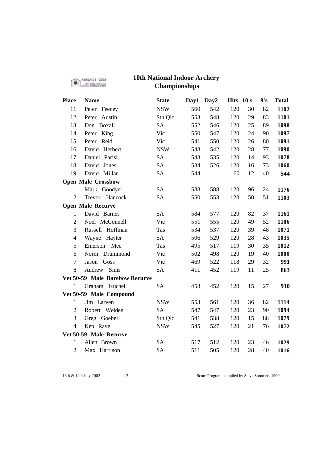### **10th National Indoor Archery Championships**

| <b>Place</b>           | <b>Name</b>                    | <b>State</b> | Day1 | Day2 | Hits 10's |    | 9's | <b>Total</b> |
|------------------------|--------------------------------|--------------|------|------|-----------|----|-----|--------------|
| 11                     | Peter Feeney                   | <b>NSW</b>   | 560  | 542  | 120       | 30 | 82  | 1102         |
| 12                     | Peter Austin                   | Sth Qld      | 553  | 548  | 120       | 29 | 83  | 1101         |
| 13                     | Don Boxall                     | <b>SA</b>    | 552  | 546  | 120       | 25 | 89  | 1098         |
| 14                     | Peter King                     | Vic          | 550  | 547  | 120       | 24 | 90  | 1097         |
| 15                     | Peter Reid                     | Vic          | 541  | 550  | 120       | 26 | 80  | 1091         |
| 16                     | David Herbert                  | <b>NSW</b>   | 548  | 542  | 120       | 28 | 77  | 1090         |
| 17                     | Daniel Parisi                  | <b>SA</b>    | 543  | 535  | 120       | 14 | 93  | 1078         |
| 18                     | David Jones                    | <b>SA</b>    | 534  | 526  | 120       | 16 | 73  | 1060         |
| 19                     | David Millar                   | <b>SA</b>    | 544  |      | 60        | 12 | 40  | 544          |
|                        | <b>Open Male Crossbow</b>      |              |      |      |           |    |     |              |
| $\mathbf{1}$           | Mark Goodyer                   | <b>SA</b>    | 588  | 588  | 120       | 96 | 24  | 1176         |
| $\overline{2}$         | Trevor Hancock                 | <b>SA</b>    | 550  | 553  | 120       | 50 | 51  | 1103         |
|                        | <b>Open Male Recurve</b>       |              |      |      |           |    |     |              |
| $\mathbf{1}$           | David Barnes                   | <b>SA</b>    | 584  | 577  | 120       | 82 | 37  | 1161         |
| $\overline{2}$         | Noel McConnell                 | Vic          | 551  | 555  | 120       | 49 | 52  | 1106         |
| 3                      | Russell Hoffman                | Tas          | 534  | 537  | 120       | 39 | 48  | 1071         |
| $\overline{4}$         | Wayne<br>Hayter                | <b>SA</b>    | 506  | 529  | 120       | 28 | 43  | 1035         |
| 5                      | Emerson Mee                    | Tas          | 495  | 517  | 119       | 30 | 35  | 1012         |
| 6                      | Drummond<br>Norm               | Vic          | 502  | 498  | 120       | 19 | 40  | 1000         |
| 7                      | Jason Goss                     | Vic          | 469  | 522  | 118       | 29 | 32  | 991          |
| 8                      | Sims<br>Andrew                 | <b>SA</b>    | 411  | 452  | 119       | 11 | 25  | 863          |
|                        | Vet 50-59 Male Barebow Recurve |              |      |      |           |    |     |              |
| $\mathbf{1}$           | Graham Kuchel                  | <b>SA</b>    | 458  | 452  | 120       | 15 | 27  | 910          |
|                        | Vet 50-59 Male Compound        |              |      |      |           |    |     |              |
| $\mathbf{1}$           | Jim Larven                     | <b>NSW</b>   | 553  | 561  | 120       | 36 | 82  | 1114         |
| $\overline{2}$         | Robert Welden                  | <b>SA</b>    | 547  | 547  | 120       | 23 | 90  | 1094         |
| 3                      | Greg Goebel                    | Sth Qld      | 541  | 538  | 120       | 15 | 88  | 1079         |
| $\overline{4}$         | Ken Raye                       | <b>NSW</b>   | 545  | 527  | 120       | 21 | 76  | 1072         |
| Vet 50-59 Male Recurve |                                |              |      |      |           |    |     |              |
| $\mathbf{1}$           | Allen Brown                    | <b>SA</b>    | 517  | 512  | 120       | 23 | 46  | 1029         |
| $\overline{2}$         | Max Harrison                   | <b>SA</b>    | 511  | 505  | 120       | 28 | 40  | 1016         |

ADELAIDE 2002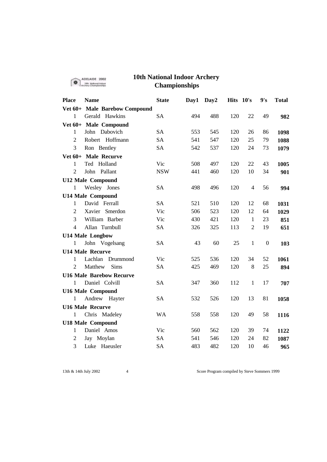|                | ADELAIDE 2002                   | <b>10th National Indoor Archery</b> |      |                  |           |                |                |              |
|----------------|---------------------------------|-------------------------------------|------|------------------|-----------|----------------|----------------|--------------|
|                |                                 | <b>Championships</b>                |      |                  |           |                |                |              |
| <b>Place</b>   | <b>Name</b>                     | <b>State</b>                        | Day1 | Day <sub>2</sub> | Hits 10's |                | 9's            | <b>Total</b> |
|                | Vet 60+ Male Barebow Compound   |                                     |      |                  |           |                |                |              |
| 1              | Gerald Hawkins                  | <b>SA</b>                           | 494  | 488              | 120       | 22             | 49             | 982          |
|                | Vet 60+ Male Compound           |                                     |      |                  |           |                |                |              |
| 1              | John Dabovich                   | <b>SA</b>                           | 553  | 545              | 120       | 26             | 86             | 1098         |
| $\overline{2}$ | Robert Hoffmann                 | <b>SA</b>                           | 541  | 547              | 120       | 25             | 79             | 1088         |
| 3              | Ron Bentley                     | <b>SA</b>                           | 542  | 537              | 120       | 24             | 73             | 1079         |
|                | Vet 60+ Male Recurve            |                                     |      |                  |           |                |                |              |
| 1              | Ted Holland                     | Vic                                 | 508  | 497              | 120       | 22             | 43             | 1005         |
| $\overline{2}$ | Pallant<br>John                 | <b>NSW</b>                          | 441  | 460              | 120       | 10             | 34             | 901          |
|                | <b>U12 Male Compound</b>        |                                     |      |                  |           |                |                |              |
| 1              | Wesley Jones                    | SА                                  | 498  | 496              | 120       | 4              | 56             | 994          |
|                | <b>U14 Male Compound</b>        |                                     |      |                  |           |                |                |              |
| 1              | David Ferrall                   | <b>SA</b>                           | 521  | 510              | 120       | 12             | 68             | 1031         |
| 2              | Xavier Smerdon                  | Vic                                 | 506  | 523              | 120       | 12             | 64             | 1029         |
| 3              | William Barber                  | Vic                                 | 430  | 421              | 120       | 1              | 23             | 851          |
| 4              | Allan Turnbull                  | <b>SA</b>                           | 326  | 325              | 113       | $\overline{2}$ | 19             | 651          |
|                | <b>U14 Male Longbow</b>         |                                     |      |                  |           |                |                |              |
| 1              | John Vogelsang                  | <b>SA</b>                           | 43   | 60               | 25        | 1              | $\overline{0}$ | 103          |
|                | <b>U14 Male Recurve</b>         |                                     |      |                  |           |                |                |              |
| 1              | Lachlan Drummond                | Vic                                 | 525  | 536              | 120       | 34             | 52             | 1061         |
| 2              | Matthew<br>Sims                 | <b>SA</b>                           | 425  | 469              | 120       | 8              | 25             | 894          |
|                | <b>U16 Male Barebow Recurve</b> |                                     |      |                  |           |                |                |              |
| 1              | Daniel Colvill                  | <b>SA</b>                           | 347  | 360              | 112       | 1              | 17             | 707          |
|                | <b>U16 Male Compound</b>        |                                     |      |                  |           |                |                |              |
| 1              | Andrew<br>Hayter                | SА                                  | 532  | 526              | 120       | 13             | 81             | 1058         |
|                | <b>U16 Male Recurve</b>         |                                     |      |                  |           |                |                |              |
| 1              | Chris Madeley                   | <b>WA</b>                           | 558  | 558              | 120       | 49             | 58             | 1116         |
|                | <b>U18 Male Compound</b>        |                                     |      |                  |           |                |                |              |
| 1              | Daniel Amos                     | Vic                                 | 560  | 562              | 120       | 39             | 74             | 1122         |
| $\overline{2}$ | Jay Moylan                      | <b>SA</b>                           | 541  | 546              | 120       | 24             | 82             | 1087         |
| 3              | Luke Haeusler                   | <b>SA</b>                           | 483  | 482              | 120       | 10             | 46             | 965          |

13th & 14th July 2002 4 Score Program compiled by Steve Sommers 1999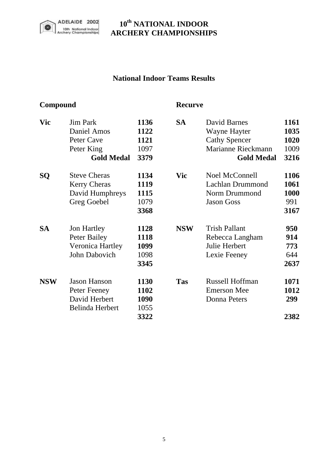

## **10th NATIONAL INDOOR ARCHERY CHAMPIONSHIPS**

### **National Indoor Teams Results**

# **Compound Recurve**

| <b>Vic</b> | <b>Jim Park</b>     | 1136 | <b>SA</b>  | David Barnes           | 1161        |
|------------|---------------------|------|------------|------------------------|-------------|
|            | Daniel Amos         | 1122 |            | Wayne Hayter           | 1035        |
|            | Peter Cave          | 1121 |            | <b>Cathy Spencer</b>   | 1020        |
|            | Peter King          | 1097 |            | Marianne Rieckmann     | 1009        |
|            | <b>Gold Medal</b>   | 3379 |            | <b>Gold Medal</b>      | 3216        |
| SQ         | <b>Steve Cheras</b> | 1134 | <b>Vic</b> | Noel McConnell         | 1106        |
|            | <b>Kerry Cheras</b> | 1119 |            | Lachlan Drummond       | 1061        |
|            | David Humphreys     | 1115 |            | Norm Drummond          | <b>1000</b> |
|            | Greg Goebel         | 1079 |            | <b>Jason Goss</b>      | 991         |
|            |                     | 3368 |            |                        | 3167        |
| <b>SA</b>  | <b>Jon Hartley</b>  | 1128 | <b>NSW</b> | <b>Trish Pallant</b>   | 950         |
|            | Peter Bailey        | 1118 |            | Rebecca Langham        | 914         |
|            | Veronica Hartley    | 1099 |            | Julie Herbert          | 773         |
|            | John Dabovich       | 1098 |            | Lexie Feeney           | 644         |
|            |                     | 3345 |            |                        | 2637        |
| <b>NSW</b> | <b>Jason Hanson</b> | 1130 | <b>Tas</b> | <b>Russell Hoffman</b> | 1071        |
|            | Peter Feeney        | 1102 |            | <b>Emerson Mee</b>     | 1012        |
|            | David Herbert       | 1090 |            | Donna Peters           | 299         |
|            | Belinda Herbert     | 1055 |            |                        |             |
|            |                     | 3322 |            |                        | 2382        |
|            |                     |      |            |                        |             |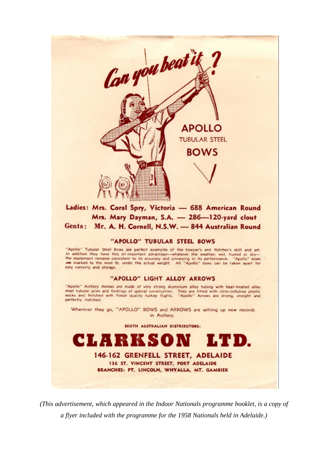

#### Ladies: Mrs. Coral Spry, Victoria - 688 American Round Mrs. Mary Dayman, S.A. - 286-120-yard clout Gents: Mr. A. H. Cornell, N.S.W. - 844 Australian Round

### "APOLLO" TUBULAR STEEL BOWS

"Apollo" Tubular Steel Bows are perfect examples of the bowyer's and fletcher's skill and art. In addition they have this all-important advantage-whatever the weather, wet, humid or dry-<br>the equipment remains consistent to its accuracy and unvarying in its performance. "Apollo" bows "Apollo" bows are marked to the next lb, under the actual weight. All "Apollo" bows can be taken apart for easy carrying and storage.

#### "APOLLO" LIGHT ALLOY ARROWS

"Apollo" Archery Arrows are made of very strong aluminium alloy tubing with heat-treated alloy steel tubular piles and footings of special construction. They are fitted with nitro-cellulose plastic<br>pocks and fletched with finest quality turkey flights. "Apollo" Arrows are strong, straight and perfectly matched.

Wherever they go, "APOLLO" BOWS and ARROWS are setting up new records in Archery.

SOUTH AUSTRALIAN DISTRIBUTORS:



(This advertisement, which appeared in the Indoor Nationals programme booklet, is a copy of a flyer included with the programme for the 1958 Nationals held in Adelaide.)